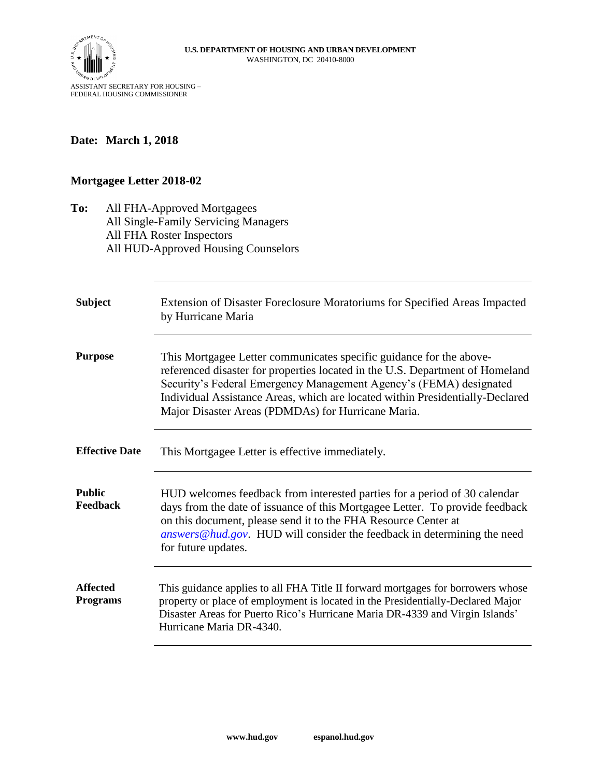

## **Date: March 1, 2018**

## **Mortgagee Letter 2018-02**

| To:                                | All FHA-Approved Mortgagees<br>All Single-Family Servicing Managers<br>All FHA Roster Inspectors<br>All HUD-Approved Housing Counselors                                                                                                                                                                                                                           |
|------------------------------------|-------------------------------------------------------------------------------------------------------------------------------------------------------------------------------------------------------------------------------------------------------------------------------------------------------------------------------------------------------------------|
| <b>Subject</b>                     | Extension of Disaster Foreclosure Moratoriums for Specified Areas Impacted<br>by Hurricane Maria                                                                                                                                                                                                                                                                  |
| <b>Purpose</b>                     | This Mortgagee Letter communicates specific guidance for the above-<br>referenced disaster for properties located in the U.S. Department of Homeland<br>Security's Federal Emergency Management Agency's (FEMA) designated<br>Individual Assistance Areas, which are located within Presidentially-Declared<br>Major Disaster Areas (PDMDAs) for Hurricane Maria. |
| <b>Effective Date</b>              | This Mortgagee Letter is effective immediately.                                                                                                                                                                                                                                                                                                                   |
| <b>Public</b><br>Feedback          | HUD welcomes feedback from interested parties for a period of 30 calendar<br>days from the date of issuance of this Mortgagee Letter. To provide feedback<br>on this document, please send it to the FHA Resource Center at<br>answers@hud.gov. HUD will consider the feedback in determining the need<br>for future updates.                                     |
| <b>Affected</b><br><b>Programs</b> | This guidance applies to all FHA Title II forward mortgages for borrowers whose<br>property or place of employment is located in the Presidentially-Declared Major<br>Disaster Areas for Puerto Rico's Hurricane Maria DR-4339 and Virgin Islands'<br>Hurricane Maria DR-4340.                                                                                    |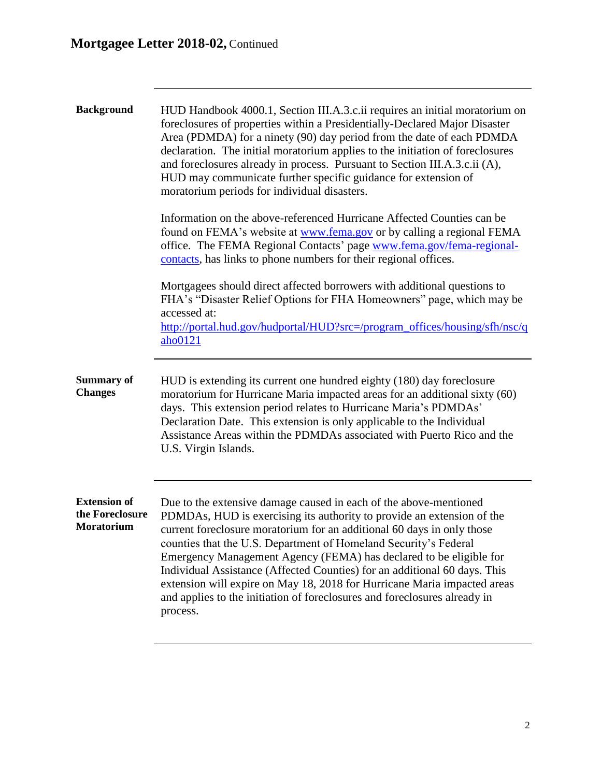| <b>Background</b>                                    | HUD Handbook 4000.1, Section III.A.3.c.ii requires an initial moratorium on<br>foreclosures of properties within a Presidentially-Declared Major Disaster<br>Area (PDMDA) for a ninety (90) day period from the date of each PDMDA<br>declaration. The initial moratorium applies to the initiation of foreclosures<br>and foreclosures already in process. Pursuant to Section III.A.3.c.ii (A),<br>HUD may communicate further specific guidance for extension of<br>moratorium periods for individual disasters.                                                                                               |
|------------------------------------------------------|-------------------------------------------------------------------------------------------------------------------------------------------------------------------------------------------------------------------------------------------------------------------------------------------------------------------------------------------------------------------------------------------------------------------------------------------------------------------------------------------------------------------------------------------------------------------------------------------------------------------|
|                                                      | Information on the above-referenced Hurricane Affected Counties can be<br>found on FEMA's website at www.fema.gov or by calling a regional FEMA<br>office. The FEMA Regional Contacts' page www.fema.gov/fema-regional-<br>contacts, has links to phone numbers for their regional offices.                                                                                                                                                                                                                                                                                                                       |
|                                                      | Mortgagees should direct affected borrowers with additional questions to<br>FHA's "Disaster Relief Options for FHA Homeowners" page, which may be<br>accessed at:<br>http://portal.hud.gov/hudportal/HUD?src=/program_offices/housing/sfh/nsc/q<br>$a$ ho $0121$                                                                                                                                                                                                                                                                                                                                                  |
| <b>Summary of</b><br><b>Changes</b>                  | HUD is extending its current one hundred eighty (180) day foreclosure<br>moratorium for Hurricane Maria impacted areas for an additional sixty (60)<br>days. This extension period relates to Hurricane Maria's PDMDAs'<br>Declaration Date. This extension is only applicable to the Individual<br>Assistance Areas within the PDMDAs associated with Puerto Rico and the<br>U.S. Virgin Islands.                                                                                                                                                                                                                |
| <b>Extension of</b><br>the Foreclosure<br>Moratorium | Due to the extensive damage caused in each of the above-mentioned<br>PDMDAs, HUD is exercising its authority to provide an extension of the<br>current foreclosure moratorium for an additional 60 days in only those<br>counties that the U.S. Department of Homeland Security's Federal<br>Emergency Management Agency (FEMA) has declared to be eligible for<br>Individual Assistance (Affected Counties) for an additional 60 days. This<br>extension will expire on May 18, 2018 for Hurricane Maria impacted areas<br>and applies to the initiation of foreclosures and foreclosures already in<br>process. |